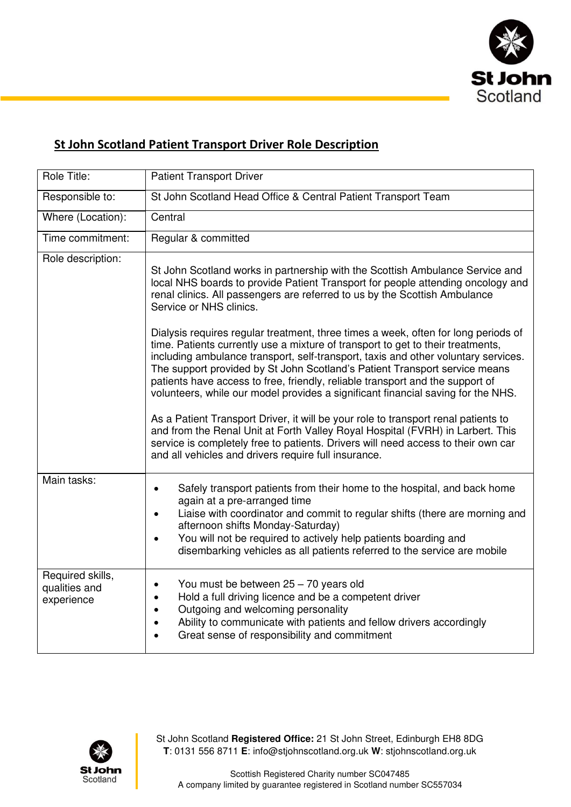

## **St John Scotland Patient Transport Driver Role Description**

| Role Title:                                     | <b>Patient Transport Driver</b>                                                                                                                                                                                                                                                                                                                                                                                                                                                                                |
|-------------------------------------------------|----------------------------------------------------------------------------------------------------------------------------------------------------------------------------------------------------------------------------------------------------------------------------------------------------------------------------------------------------------------------------------------------------------------------------------------------------------------------------------------------------------------|
| Responsible to:                                 | St John Scotland Head Office & Central Patient Transport Team                                                                                                                                                                                                                                                                                                                                                                                                                                                  |
| Where (Location):                               | Central                                                                                                                                                                                                                                                                                                                                                                                                                                                                                                        |
| Time commitment:                                | Regular & committed                                                                                                                                                                                                                                                                                                                                                                                                                                                                                            |
| Role description:                               | St John Scotland works in partnership with the Scottish Ambulance Service and<br>local NHS boards to provide Patient Transport for people attending oncology and<br>renal clinics. All passengers are referred to us by the Scottish Ambulance<br>Service or NHS clinics.                                                                                                                                                                                                                                      |
|                                                 | Dialysis requires regular treatment, three times a week, often for long periods of<br>time. Patients currently use a mixture of transport to get to their treatments,<br>including ambulance transport, self-transport, taxis and other voluntary services.<br>The support provided by St John Scotland's Patient Transport service means<br>patients have access to free, friendly, reliable transport and the support of<br>volunteers, while our model provides a significant financial saving for the NHS. |
|                                                 | As a Patient Transport Driver, it will be your role to transport renal patients to<br>and from the Renal Unit at Forth Valley Royal Hospital (FVRH) in Larbert. This<br>service is completely free to patients. Drivers will need access to their own car<br>and all vehicles and drivers require full insurance.                                                                                                                                                                                              |
| Main tasks:                                     | Safely transport patients from their home to the hospital, and back home<br>$\bullet$<br>again at a pre-arranged time<br>Liaise with coordinator and commit to regular shifts (there are morning and<br>$\bullet$<br>afternoon shifts Monday-Saturday)<br>You will not be required to actively help patients boarding and<br>$\bullet$<br>disembarking vehicles as all patients referred to the service are mobile                                                                                             |
| Required skills,<br>qualities and<br>experience | You must be between 25 - 70 years old<br>$\bullet$<br>Hold a full driving licence and be a competent driver<br>$\bullet$<br>Outgoing and welcoming personality<br>$\bullet$<br>Ability to communicate with patients and fellow drivers accordingly<br>$\bullet$<br>Great sense of responsibility and commitment                                                                                                                                                                                                |



St John Scotland **Registered Office:** 21 St John Street, Edinburgh EH8 8DG **T**: 0131 556 8711 **E**: info@stjohnscotland.org.uk **W**: stjohnscotland.org.uk